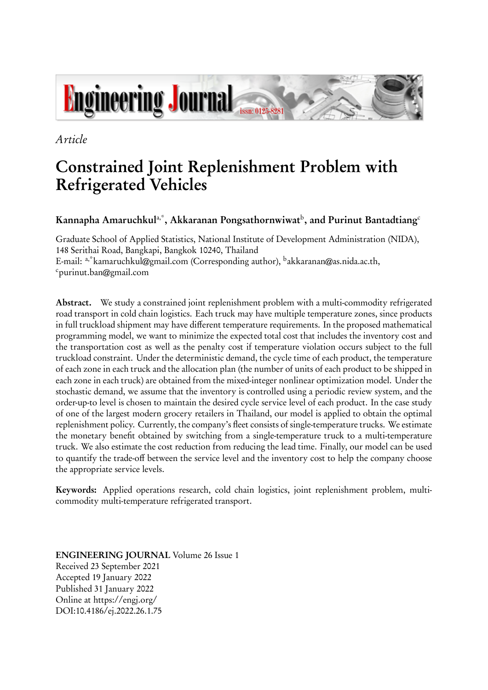

*Article*

# **Constrained Joint Replenishment Problem with Refrigerated Vehicles**

# **Kannapha Amaruchkul**a,\***, Akkaranan Pongsathornwiwat**<sup>b</sup> **, and Purinut Bantadtiang**<sup>c</sup>

Graduate School of Applied Statistics, National Institute of Development Administration (NIDA), 148 Serithai Road, Bangkapi, Bangkok 10240, Thailand E-mail: <sup>a,\*</sup>kamaruchkul@gmail.com (Corresponding author), <sup>b</sup>akkaranan@as.nida.ac.th, <sup>c</sup>purinut.ban@gmail.com

**Abstract.** We study a constrained joint replenishment problem with a multi-commodity refrigerated road transport in cold chain logistics. Each truck may have multiple temperature zones, since products in full truckload shipment may have different temperature requirements. In the proposed mathematical programming model, we want to minimize the expected total cost that includes the inventory cost and the transportation cost as well as the penalty cost if temperature violation occurs subject to the full truckload constraint. Under the deterministic demand, the cycle time of each product, the temperature of each zone in each truck and the allocation plan (the number of units of each product to be shipped in each zone in each truck) are obtained from the mixed-integer nonlinear optimization model. Under the stochastic demand, we assume that the inventory is controlled using a periodic review system, and the order-up-to level is chosen to maintain the desired cycle service level of each product. In the case study of one of the largest modern grocery retailers in Thailand, our model is applied to obtain the optimal replenishment policy. Currently, the company's fleet consists of single-temperature trucks. We estimate the monetary benefit obtained by switching from a single-temperature truck to a multi-temperature truck. We also estimate the cost reduction from reducing the lead time. Finally, our model can be used to quantify the trade-off between the service level and the inventory cost to help the company choose the appropriate service levels.

**Keywords:** Applied operations research, cold chain logistics, joint replenishment problem, multicommodity multi-temperature refrigerated transport.

**ENGINEERING JOURNAL** Volume 26 Issue 1 Received 23 September 2021 Accepted 19 January 2022 Published 31 January 2022 Online at https://engj.org/ DOI:10.4186/ej.2022.26.1.75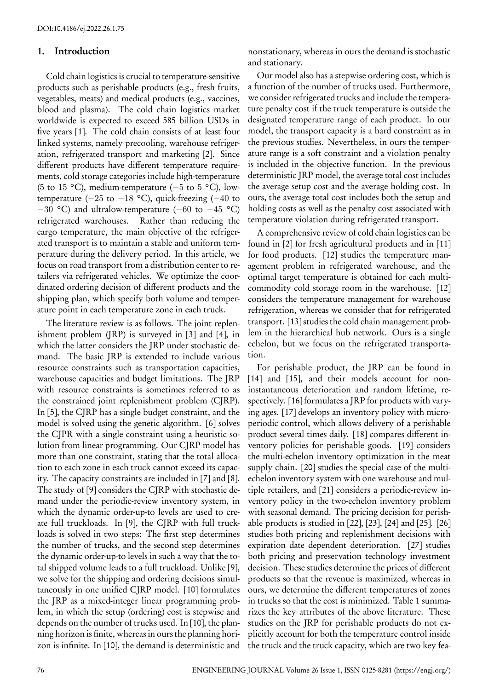## **1. Introduction**

Cold chain logistics is crucial to temperature-sensitive products such as perishable products (e.g., fresh fruits, vegetables, meats) and medical products (e.g., vaccines, blood and plasma). The cold chain logistics market worldwide is expected to exceed 585 billion USDs in five years [1]. The cold chain consists of at least four linked systems, namely precooling, warehouse refrigeration, refrigerated transport and marketing [2]. Since different products have different temperature requirements, cold storage categories include high-temperature (5 to 15 °C), medium-temperature (*−*5 to 5 °C), lowtemperature (*−*25 to *−*18 °C), quick-freezing (*−*40 to *−*30 °C) and ultralow-temperature (*−*60 to *−*45 °C) refrigerated warehouses. Rather than reducing the cargo temperature, the main objective of the refrigerated transport is to maintain a stable and uniform temperature during the delivery period. In this article, we focus on road transport from a distribution center to retailers via refrigerated vehicles. We optimize the coordinated ordering decision of different products and the shipping plan, which specify both volume and temperature point in each temperature zone in each truck.

The literature review is as follows. The joint replenishment problem (JRP) is surveyed in [3] and [4], in which the latter considers the JRP under stochastic demand. The basic JRP is extended to include various resource constraints such as transportation capacities, warehouse capacities and budget limitations. The JRP with resource constraints is sometimes referred to as the constrained joint replenishment problem (CJRP). In [5], the CJRP has a single budget constraint, and the model is solved using the genetic algorithm. [6] solves the CJPR with a single constraint using a heuristic solution from linear programming. Our CJRP model has more than one constraint, stating that the total allocation to each zone in each truck cannot exceed its capacity. The capacity constraints are included in [7] and [8]. The study of [9] considers the CJRP with stochastic demand under the periodic-review inventory system, in which the dynamic order-up-to levels are used to create full truckloads. In [9], the CJRP with full truckloads is solved in two steps: The first step determines the number of trucks, and the second step determines the dynamic order-up-to levels in such a way that the total shipped volume leads to a full truckload. Unlike [9], we solve for the shipping and ordering decisions simultaneously in one unified CJRP model. [10] formulates the JRP as a mixed-integer linear programming problem, in which the setup (ordering) cost is stepwise and depends on the number of trucks used. In [10], the planning horizon is finite, whereas in ours the planning horizon is infinite. In [10], the demand is deterministic and

nonstationary, whereas in ours the demand is stochastic and stationary.

Our model also has a stepwise ordering cost, which is a function of the number of trucks used. Furthermore, we consider refrigerated trucks and include the temperature penalty cost if the truck temperature is outside the designated temperature range of each product. In our model, the transport capacity is a hard constraint as in the previous studies. Nevertheless, in ours the temperature range is a soft constraint and a violation penalty is included in the objective function. In the previous deterministic JRP model, the average total cost includes the average setup cost and the average holding cost. In ours, the average total cost includes both the setup and holding costs as well as the penalty cost associated with temperature violation during refrigerated transport.

A comprehensive review of cold chain logistics can be found in [2] for fresh agricultural products and in [11] for food products. [12] studies the temperature management problem in refrigerated warehouse, and the optimal target temperature is obtained for each multicommodity cold storage room in the warehouse. [12] considers the temperature management for warehouse refrigeration, whereas we consider that for refrigerated transport. [13] studies the cold chain management problem in the hierarchical hub network. Ours is a single echelon, but we focus on the refrigerated transportation.

For perishable product, the JRP can be found in [14] and [15], and their models account for noninstantaneous deterioration and random lifetime, respectively. [16] formulates a JRP for products with varying ages. [17] develops an inventory policy with microperiodic control, which allows delivery of a perishable product several times daily. [18] compares different inventory policies for perishable goods. [19] considers the multi-echelon inventory optimization in the meat supply chain. [20] studies the special case of the multiechelon inventory system with one warehouse and multiple retailers, and [21] considers a periodic-review inventory policy in the two-echelon inventory problem with seasonal demand. The pricing decision for perishable products is studied in [22], [23], [24] and [25]. [26] studies both pricing and replenishment decisions with expiration date dependent deterioration. [27] studies both pricing and preservation technology investment decision. These studies determine the prices of different products so that the revenue is maximized, whereas in ours, we determine the different temperatures of zones in trucks so that the cost is minimized. Table 1 summarizes the key attributes of the above literature. These studies on the JRP for perishable products do not explicitly account for both the temperature control inside the truck and the truck capacity, which are two key fea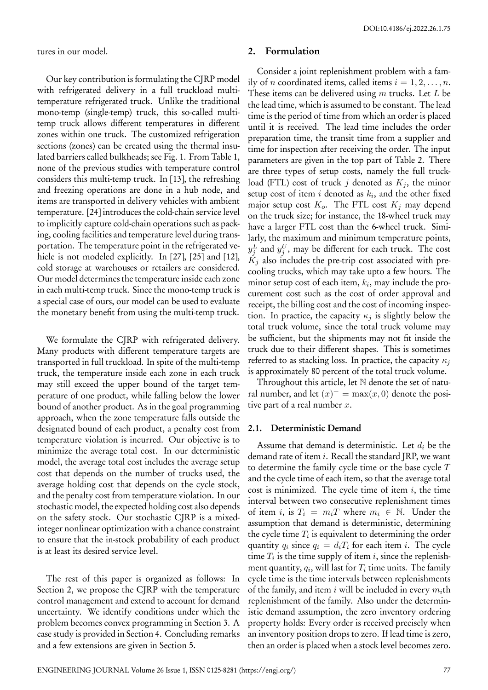tures in our model.

Our key contribution is formulating the CJRP model with refrigerated delivery in a full truckload multitemperature refrigerated truck. Unlike the traditional mono-temp (single-temp) truck, this so-called multitemp truck allows different temperatures in different zones within one truck. The customized refrigeration sections (zones) can be created using the thermal insulated barriers called bulkheads; see Fig. 1. From Table 1, none of the previous studies with temperature control considers this multi-temp truck. In [13], the refreshing and freezing operations are done in a hub node, and items are transported in delivery vehicles with ambient temperature. [24] introduces the cold-chain service level to implicitly capture cold-chain operations such as packing, cooling facilities and temperature level during transportation. The temperature point in the refrigerated vehicle is not modeled explicitly. In [27], [25] and [12], cold storage at warehouses or retailers are considered. Our model determines the temperature inside each zone in each multi-temp truck. Since the mono-temp truck is a special case of ours, our model can be used to evaluate the monetary benefit from using the multi-temp truck.

We formulate the CJRP with refrigerated delivery. Many products with different temperature targets are transported in full truckload. In spite of the multi-temp truck, the temperature inside each zone in each truck may still exceed the upper bound of the target temperature of one product, while falling below the lower bound of another product. As in the goal programming approach, when the zone temperature falls outside the designated bound of each product, a penalty cost from temperature violation is incurred. Our objective is to minimize the average total cost. In our deterministic model, the average total cost includes the average setup cost that depends on the number of trucks used, the average holding cost that depends on the cycle stock, and the penalty cost from temperature violation. In our stochastic model, the expected holding cost also depends on the safety stock. Our stochastic CJRP is a mixedinteger nonlinear optimization with a chance constraint to ensure that the in-stock probability of each product is at least its desired service level.

The rest of this paper is organized as follows: In Section 2, we propose the CJRP with the temperature control management and extend to account for demand uncertainty. We identify conditions under which the problem becomes convex programming in Section 3. A case study is provided in Section 4. Concluding remarks and a few extensions are given in Section 5.

## **2. Formulation**

Consider a joint replenishment problem with a family of *n* coordinated items, called items  $i = 1, 2, \ldots, n$ . These items can be delivered using *m* trucks. Let *L* be the lead time, which is assumed to be constant. The lead time is the period of time from which an order is placed until it is received. The lead time includes the order preparation time, the transit time from a supplier and time for inspection after receiving the order. The input parameters are given in the top part of Table 2. There are three types of setup costs, namely the full truckload (FTL) cost of truck *j* denoted as  $K_j$ , the minor setup cost of item *i* denoted as *k<sup>i</sup>* , and the other fixed major setup cost *Ko*. The FTL cost *K<sup>j</sup>* may depend on the truck size; for instance, the 18-wheel truck may have a larger FTL cost than the 6-wheel truck. Similarly, the maximum and minimum temperature points,  $y_j^L$  and  $y_j^U$ , may be different for each truck. The cost  $K_j$  also includes the pre-trip cost associated with precooling trucks, which may take upto a few hours. The minor setup cost of each item, *k<sup>i</sup>* , may include the procurement cost such as the cost of order approval and receipt, the billing cost and the cost of incoming inspection. In practice, the capacity  $\kappa_j$  is slightly below the total truck volume, since the total truck volume may be sufficient, but the shipments may not fit inside the truck due to their different shapes. This is sometimes referred to as stacking loss. In practice, the capacity *κ<sup>j</sup>* is approximately 80 percent of the total truck volume.

Throughout this article, let N denote the set of natural number, and let  $(x)^+$  = max $(x, 0)$  denote the positive part of a real number *x*.

#### **2.1. Deterministic Demand**

Assume that demand is deterministic. Let *d<sup>i</sup>* be the demand rate of item *i*. Recall the standard JRP, we want to determine the family cycle time or the base cycle *T* and the cycle time of each item, so that the average total cost is minimized. The cycle time of item *i*, the time interval between two consecutive replenishment times of item *i*, is  $T_i = m_i T$  where  $m_i \in \mathbb{N}$ . Under the assumption that demand is deterministic, determining the cycle time  $T_i$  is equivalent to determining the order quantity  $q_i$  since  $q_i = d_i T_i$  for each item *i*. The cycle time  $T_i$  is the time supply of item  $i$ , since the replenishment quantity,  $q_i$ , will last for  $T_i$  time units. The family cycle time is the time intervals between replenishments of the family, and item *i* will be included in every *mi*th replenishment of the family. Also under the deterministic demand assumption, the zero inventory ordering property holds: Every order is received precisely when an inventory position drops to zero. If lead time is zero, then an order is placed when a stock level becomes zero.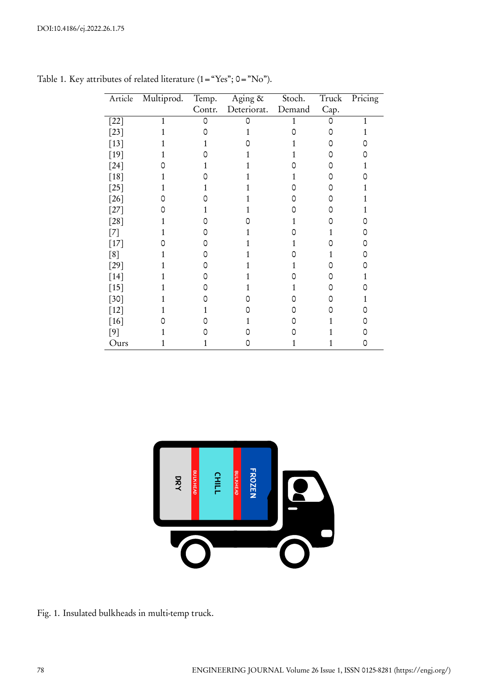| Article | Multiprod.   | Temp.  | $\overline{\mathrm{Aging}}$ & | Stoch. | Truck | Pricing      |
|---------|--------------|--------|-------------------------------|--------|-------|--------------|
|         |              | Contr. | Deteriorat.                   | Demand | Cap.  |              |
| $[22]$  | $\mathbf{1}$ | Ω      | Ω                             | 1      | 0     | $\mathbf{1}$ |
| $[23]$  |              |        |                               |        | Ω     |              |
| $[13]$  |              |        |                               |        |       |              |
| $[19]$  |              |        |                               |        |       |              |
| $[24]$  |              |        |                               |        | O     |              |
| $[18]$  |              |        |                               |        | n     |              |
| $[25]$  |              |        |                               |        | Ω     |              |
| $[26]$  |              |        |                               |        | 0     |              |
| $[27]$  |              |        |                               |        |       |              |
| $[28]$  |              |        |                               |        |       |              |
| $[7]$   |              |        |                               |        |       |              |
| $[17]$  |              |        |                               |        |       |              |
| [8]     |              |        |                               |        |       |              |
| $[29]$  |              |        |                               |        |       |              |
| $[14]$  |              |        |                               |        |       |              |
| $[15]$  |              |        |                               |        |       |              |
| $[30]$  |              |        |                               |        | Ω     |              |
| $[12]$  |              |        |                               |        | Ω     |              |
| $[16]$  |              |        |                               |        |       |              |
| $[9]$   |              |        |                               |        |       |              |
| Ours    |              |        | 0                             |        |       | 0            |

Table 1. Key attributes of related literature (1="Yes"; 0="No").



Fig. 1. Insulated bulkheads in multi-temp truck.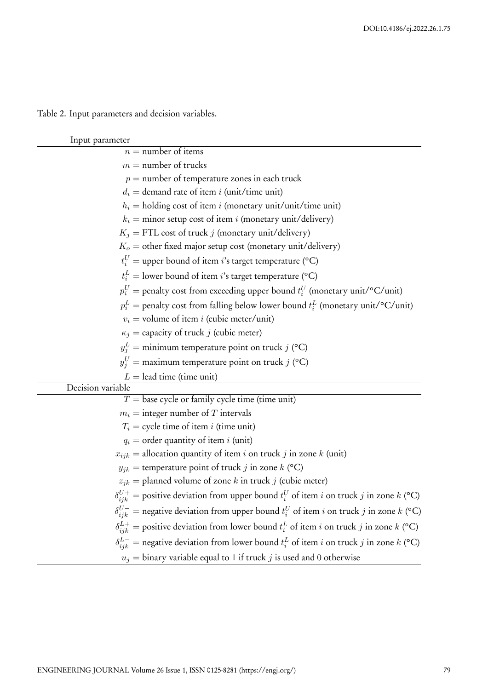Table 2. Input parameters and decision variables.

| Input parameter                                                                                       |
|-------------------------------------------------------------------------------------------------------|
| $n =$ number of items                                                                                 |
| $m =$ number of trucks                                                                                |
| $p =$ number of temperature zones in each truck                                                       |
| $d_i$ = demand rate of item i (unit/time unit)                                                        |
| $h_i$ = holding cost of item <i>i</i> (monetary unit/unit/time unit)                                  |
| $k_i$ = minor setup cost of item i (monetary unit/delivery)                                           |
| $K_j$ = FTL cost of truck j (monetary unit/delivery)                                                  |
| $K_o$ = other fixed major setup cost (monetary unit/delivery)                                         |
| $t_i^U$ = upper bound of item <i>i</i> 's target temperature (°C)                                     |
| $t_i^L$ = lower bound of item <i>i</i> 's target temperature (°C)                                     |
| $p_i^U$ = penalty cost from exceeding upper bound $t_i^U$ (monetary unit/°C/unit)                     |
| $p_i^L$ = penalty cost from falling below lower bound $t_i^L$ (monetary unit/°C/unit)                 |
| $v_i$ = volume of item <i>i</i> (cubic meter/unit)                                                    |
| $\kappa_j$ = capacity of truck j (cubic meter)                                                        |
| $y_i^L$ = minimum temperature point on truck j (°C)                                                   |
| $y_j^U$ = maximum temperature point on truck j (°C)                                                   |
| $L =$ lead time (time unit)                                                                           |
| Decision variable                                                                                     |
| $T =$ base cycle or family cycle time (time unit)                                                     |
| $m_i$ = integer number of T intervals                                                                 |
| $T_i$ = cycle time of item <i>i</i> (time unit)                                                       |
| $q_i$ = order quantity of item i (unit)                                                               |
| $x_{ijk}$ = allocation quantity of item i on truck j in zone k (unit)                                 |
| $y_{jk}$ = temperature point of truck j in zone k (°C)                                                |
| $z_{jk}$ = planned volume of zone k in truck j (cubic meter)                                          |
| $\delta_{ijk}^{U+}$ = positive deviation from upper bound $t_i^U$ of item i on truck j in zone k (°C) |
| $\delta_{ijk}^{U-}$ = negative deviation from upper bound $t_i^U$ of item i on truck j in zone k (°C) |
| $\delta_{ijk}^{L+}$ = positive deviation from lower bound $t_i^L$ of item i on truck j in zone k (°C) |
| $\delta_{ijk}^{L-}$ = negative deviation from lower bound $t_i^L$ of item i on truck j in zone k (°C) |
| $u_j$ = binary variable equal to 1 if truck j is used and 0 otherwise                                 |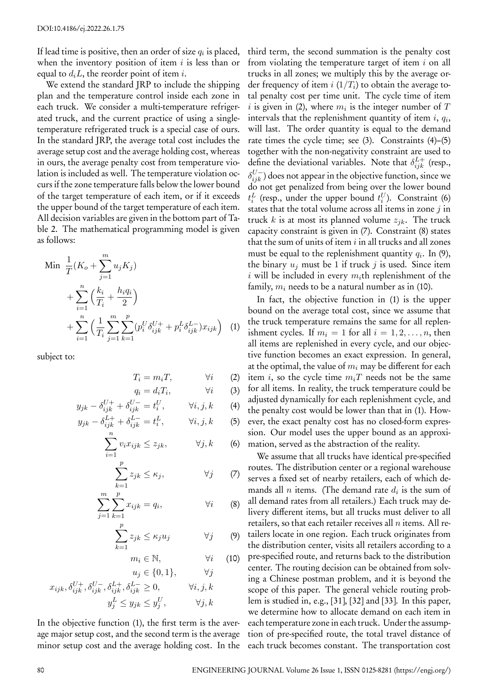If lead time is positive, then an order of size  $q_i$  is placed, when the inventory position of item *i* is less than or equal to  $d_i L$ , the reorder point of item *i*.

We extend the standard JRP to include the shipping plan and the temperature control inside each zone in each truck. We consider a multi-temperature refrigerated truck, and the current practice of using a singletemperature refrigerated truck is a special case of ours. In the standard JRP, the average total cost includes the average setup cost and the average holding cost, whereas in ours, the average penalty cost from temperature violation is included as well. The temperature violation occurs if the zone temperature falls below the lower bound of the target temperature of each item, or if it exceeds the upper bound of the target temperature of each item. All decision variables are given in the bottom part of Table 2. The mathematical programming model is given as follows:

Min 
$$
\frac{1}{T}(K_o + \sum_{j=1}^{m} u_j K_j)
$$
  
+  $\sum_{i=1}^{n} \left(\frac{k_i}{T_i} + \frac{h_i q_i}{2}\right)$   
+  $\sum_{i=1}^{n} \left(\frac{1}{T_i} \sum_{j=1}^{m} \sum_{k=1}^{p} (p_i^U \delta_{ijk}^{U+} + p_i^L \delta_{ijk}^{L-}) x_{ijk}\right)$  (1)

subject to:

$$
T_i = m_i T, \qquad \forall i \qquad (2)
$$

$$
q_i = d_i T_i, \qquad \forall i \qquad (3)
$$
  

$$
y_{jk} - \delta_{ijk}^{U+} + \delta_{ijk}^{U-} = t_i^U, \qquad \forall i, j, k \qquad (4)
$$

$$
y_{jk} - \delta_{ijk}^{L+} + \delta_{ijk}^{L-} = t_i^L, \qquad \forall i, j, k \qquad (5)
$$

$$
\sum_{i=1}^{n} v_i x_{ijk} \le z_{jk}, \qquad \forall j, k \qquad (6)
$$

$$
\sum_{k=1}^{p} z_{jk} \le \kappa_j, \qquad \forall j \qquad (7)
$$

$$
\sum_{j=1}^{m} \sum_{k=1}^{p} x_{ijk} = q_i, \qquad \forall i \qquad (8)
$$

$$
\sum_{k=1}^{p} z_{jk} \le \kappa_j u_j \qquad \forall j \qquad (9)
$$

$$
m_i \in \mathbb{N}, \qquad \forall i \quad (10)
$$
  

$$
u_i \in \{0, 1\}, \qquad \forall j
$$

$$
x_{ijk}, \delta_{ijk}^{U+}, \delta_{ijk}^{U-}, \delta_{ijk}^{L+}, \delta_{ijk}^{L-} \ge 0, \qquad \forall i, j, k
$$

$$
y_j^L \le y_{jk} \le y_j^U, \qquad \forall j, k
$$

In the objective function (1), the first term is the average major setup cost, and the second term is the average minor setup cost and the average holding cost. In the third term, the second summation is the penalty cost from violating the temperature target of item *i* on all trucks in all zones; we multiply this by the average order frequency of item *i* (1*/T<sup>i</sup>* ) to obtain the average total penalty cost per time unit. The cycle time of item *i* is given in (2), where  $m_i$  is the integer number of  $T$ intervals that the replenishment quantity of item *i*, *q<sup>i</sup>* , will last. The order quantity is equal to the demand rate times the cycle time; see (3). Constraints (4)–(5) together with the non-negativity constraint are used to define the deviational variables. Note that  $\delta_{ijk}^{L+}$  (resp.,  $\delta^{U-}_{ijk}$ ) does not appear in the objective function, since we do not get penalized from being over the lower bound  $t_i^L$  (resp., under the upper bound  $t_i^U$ ). Constraint (6) states that the total volume across all items in zone *j* in truck *k* is at most its planned volume  $z_{jk}$ . The truck capacity constraint is given in (7). Constraint (8) states that the sum of units of item *i* in all trucks and all zones must be equal to the replenishment quantity *q<sup>i</sup>* . In (9), the binary  $u_j$  must be 1 if truck  $j$  is used. Since item *i* will be included in every  $m_i$ th replenishment of the family, *m<sup>i</sup>* needs to be a natural number as in (10).

In fact, the objective function in (1) is the upper bound on the average total cost, since we assume that the truck temperature remains the same for all replenishment cycles. If  $m_i = 1$  for all  $i = 1, 2, \dots, n$ , then all items are replenished in every cycle, and our objective function becomes an exact expression. In general, at the optimal, the value of *m<sup>i</sup>* may be different for each item *i*, so the cycle time *miT* needs not be the same for all items. In reality, the truck temperature could be adjusted dynamically for each replenishment cycle, and the penalty cost would be lower than that in (1). However, the exact penalty cost has no closed-form expression. Our model uses the upper bound as an approximation, served as the abstraction of the reality.

We assume that all trucks have identical pre-specified routes. The distribution center or a regional warehouse serves a fixed set of nearby retailers, each of which demands all *n* items. (The demand rate *d<sup>i</sup>* is the sum of all demand rates from all retailers.) Each truck may delivery different items, but all trucks must deliver to all retailers, so that each retailer receives all *n* items. All retailers locate in one region. Each truck originates from the distribution center, visits all retailers according to a pre-specified route, and returns back to the distribution center. The routing decision can be obtained from solving a Chinese postman problem, and it is beyond the scope of this paper. The general vehicle routing problem is studied in, e.g., [31], [32] and [33]. In this paper, we determine how to allocate demand on each item in each temperature zone in each truck. Under the assumption of pre-specified route, the total travel distance of each truck becomes constant. The transportation cost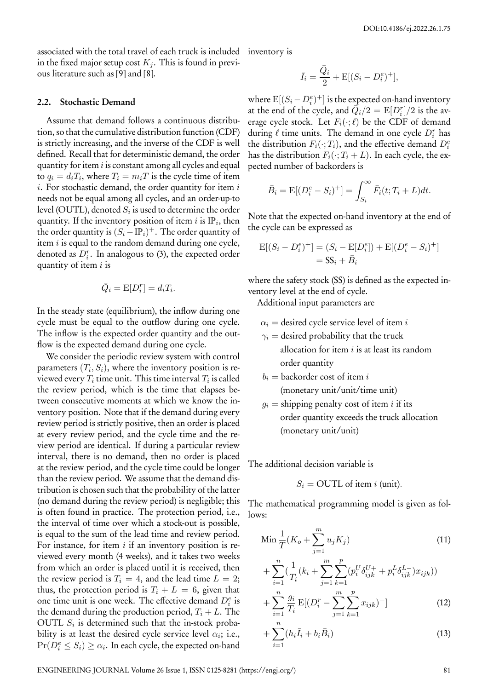associated with the total travel of each truck is included inventory is in the fixed major setup cost  $K_i$ . This is found in previous literature such as [9] and [8].

#### **2.2. Stochastic Demand**

Assume that demand follows a continuous distribution, so that the cumulative distribution function (CDF) is strictly increasing, and the inverse of the CDF is well defined. Recall that for deterministic demand, the order quantity for item *i* is constant among all cycles and equal to  $q_i = d_i T_i$ , where  $T_i = m_i T$  is the cycle time of item *i*. For stochastic demand, the order quantity for item *i* needs not be equal among all cycles, and an order-up-to level (OUTL), denoted  $S_i$  is used to determine the order quantity. If the inventory position of item  $i$  is IP $_i$ , then the order quantity is  $(S_i - \mathrm{IP}_i)^+$ . The order quantity of item *i* is equal to the random demand during one cycle, denoted as  $D_i^r$ . In analogous to (3), the expected order quantity of item *i* is

$$
\bar{Q}_i = \mathrm{E}[D_i^r] = d_i T_i.
$$

In the steady state (equilibrium), the inflow during one cycle must be equal to the outflow during one cycle. The inflow is the expected order quantity and the outflow is the expected demand during one cycle.

We consider the periodic review system with control parameters  $(T_i, S_i)$ , where the inventory position is reviewed every  $T_i$  time unit. This time interval  $T_i$  is called the review period, which is the time that elapses between consecutive moments at which we know the inventory position. Note that if the demand during every review period is strictly positive, then an order is placed at every review period, and the cycle time and the review period are identical. If during a particular review interval, there is no demand, then no order is placed at the review period, and the cycle time could be longer than the review period. We assume that the demand distribution is chosen such that the probability of the latter (no demand during the review period) is negligible; this is often found in practice. The protection period, i.e., the interval of time over which a stock-out is possible, is equal to the sum of the lead time and review period. For instance, for item *i* if an inventory position is reviewed every month (4 weeks), and it takes two weeks from which an order is placed until it is received, then the review period is  $T_i = 4$ , and the lead time  $L = 2$ ; thus, the protection period is  $T_i + L = 6$ , given that one time unit is one week. The effective demand  $D_i^e$  is the demand during the production period,  $T_i + L$ . The OUTL *S<sup>i</sup>* is determined such that the in-stock probability is at least the desired cycle service level  $\alpha_i$ ; i.e.,  $Pr(D_i^e \leq S_i) \geq \alpha_i$ . In each cycle, the expected on-hand

$$
\bar{I}_i = \frac{\bar{Q}_i}{2} + \mathbf{E}[(S_i - D_i^e)^+],
$$

where  $E[(S_i - D_i^e)^+]$  is the expected on-hand inventory at the end of the cycle, and  $\overline{\hat{Q}_i}/2 = \text{E}[D_i^r]/2$  is the average cycle stock. Let  $F_i(\cdot;\ell)$  be the CDF of demand during  $\ell$  time units. The demand in one cycle  $D_i^r$  has the distribution  $F_i(\cdot; T_i)$ , and the effective demand  $D_i^e$ has the distribution  $F_i(\cdot; T_i + L)$ . In each cycle, the expected number of backorders is

$$
\bar{B}_i = \mathbb{E}[(D_i^e - S_i)^+] = \int_{S_i}^{\infty} \bar{F}_i(t; T_i + L)dt.
$$

Note that the expected on-hand inventory at the end of the cycle can be expressed as

$$
E[(S_i - D_i^e)^+] = (S_i - E[D_i^e]) + E[(D_i^e - S_i)^+]
$$
  
=  $SS_i + \bar{B}_i$ 

where the safety stock (SS) is defined as the expected inventory level at the end of cycle.

Additional input parameters are

- $\alpha_i$  = desired cycle service level of item *i*
- $\gamma_i$  = desired probability that the truck allocation for item *i* is at least its random order quantity
- *b<sup>i</sup>* = backorder cost of item *i* (monetary unit/unit/time unit)
- $g_i =$  shipping penalty cost of item *i* if its order quantity exceeds the truck allocation (monetary unit/unit)

The additional decision variable is

*i*=1

$$
S_i = \text{OUTL of item } i \text{ (unit)}.
$$

The mathematical programming model is given as follows:

$$
\operatorname{Min} \frac{1}{T} (K_o + \sum_{j=1}^{m} u_j K_j) \tag{11}
$$

$$
+\sum_{i=1}^{n} \left(\frac{1}{T_i}(k_i + \sum_{j=1}^{m} \sum_{k=1}^{p} (p_i^U \delta_{ijk}^{U+} + p_i^L \delta_{ijk}^{L-}) x_{ijk})\right) + \sum_{i=1}^{n} \frac{g_i}{T_i} \mathbb{E}[(D_i^r - \sum_{i=1}^{m} \sum_{k=1}^{p} x_{ijk})^+]
$$
(12)

$$
i=1
$$
<sup>*i*</sup> $i$  $j=1$  *k*=1  
+  $\sum_{i=1}^{n} (h_i \bar{I}_i + b_i \bar{B}_i)$  (13)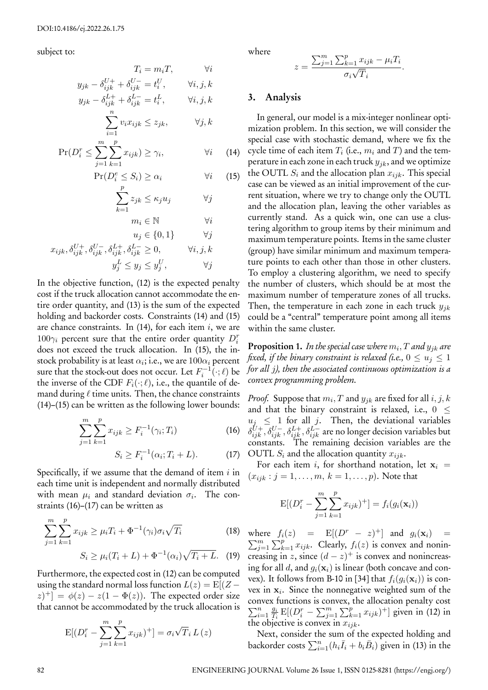subject to:

$$
T_i = m_i T, \qquad \forall i
$$
  
\n
$$
y_{jk} - \delta_{ijk}^{U+} + \delta_{ijk}^{U-} = t_i^U, \qquad \forall i, j, k
$$
  
\n
$$
y_{jk} - \delta_{ijk}^{L+} + \delta_{ijk}^{L-} = t_i^L, \qquad \forall i, j, k
$$
  
\n
$$
\sum_{i=1}^{n} v_i x_{ijk} \le z_{jk}, \qquad \forall j, k
$$

$$
D_i^r \le \sum_{i=1}^m \sum_{j=1}^p x_{ijk}) \ge \gamma_i, \qquad \forall i
$$

$$
\Pr(D_i^r \le \sum_{j=1}^r \sum_{k=1}^r x_{ijk}) \ge \gamma_i, \qquad \forall i \qquad (14)
$$

$$
\Pr(D_i^e \le S_i) \ge \alpha_i \qquad \forall i \qquad (15)
$$

$$
\sum_{i=1}^{p} z_{jk} \le \kappa_j u_j \qquad \forall j
$$

$$
\sum_{k=1}^{n-j,n} \sum_{j=1}^{n-j} \sum_{j=1}^{n-j} \sum_{j=1}^{n-j} \sum_{j=1}^{n-j} \sum_{j=1}^{n-j} \sum_{j=1}^{n-j} \sum_{j=1}^{n-j} \sum_{j=1}^{n-j} \sum_{j=1}^{n-j} \sum_{j=1}^{n-j} \sum_{j=1}^{n-j} \sum_{j=1}^{n-j} \sum_{j=1}^{n-j} \sum_{j=1}^{n-j} \sum_{j=1}^{n-j} \sum_{j=1}^{n-j} \sum_{j=1}^{n-j} \sum_{j=1}^{n-j} \sum_{j=1}^{n-j} \sum_{j=1}^{n-j} \sum_{j=1}^{n-j} \sum_{j=1}^{n-j} \sum_{j=1}^{n-j} \sum_{j=1}^{n-j} \sum_{j=1}^{n-j} \sum_{j=1}^{n-j} \sum_{j=1}^{n-j} \sum_{j=1}^{n-j} \sum_{j=1}^{n-j} \sum_{j=1}^{n-j} \sum_{j=1}^{n-j} \sum_{j=1}^{n-j} \sum_{j=1}^{n-j} \sum_{j=1}^{n-j} \sum_{j=1}^{n-j} \sum_{j=1}^{n-j} \sum_{j=1}^{n-j} \sum_{j=1}^{n-j} \sum_{j=1}^{n-j} \sum_{j=1}^{n-j} \sum_{j=1}^{n-j} \sum_{j=1}^{n-j} \sum_{j=1}^{n-j} \sum_{j=1}^{n-j} \sum_{j=1}^{n-j} \sum_{j=1}^{n-j} \sum_{j=1}^{n-j} \sum_{j=1}^{n-j} \sum_{j=1}^{n-j} \sum_{j=1}^{n-j} \sum_{j=1}^{n-j} \sum_{j=1}^{n-j} \sum_{j=1}^{n-j} \sum_{j=1}^{n-j} \sum_{j=1}^{n-j} \sum_{j=1}^{n-j} \sum_{j=1}^{n-j} \sum_{j=1}^{n-j} \sum_{j=1}^{n-j} \sum_{j=1}^{n-j} \sum_{j=1}^{n-j} \sum_{j=1}^{n-j} \sum_{j=1}^{n-j} \sum_{j=1}^{n-j} \sum_{j=1}^{n-j} \sum_{j=1}^{n-j} \sum_{j=1}^{n-j} \sum_{j=1}^{n-j}
$$

$$
u_i \in \{0, 1\} \qquad \forall j
$$

$$
x_{ijk}, \delta_{ijk}^{U+}, \delta_{ijk}^{U-}, \delta_{ijk}^{L+}, \delta_{ijk}^{L-} \ge 0, \qquad \forall i, j, k
$$

$$
y_j^L \le y_j \le y_j^U, \qquad \forall j
$$

In the objective function, (12) is the expected penalty cost if the truck allocation cannot accommodate the entire order quantity, and (13) is the sum of the expected holding and backorder costs. Constraints (14) and (15) are chance constraints. In (14), for each item *i*, we are 100*γ<sup>i</sup>* percent sure that the entire order quantity *D<sup>r</sup> i* does not exceed the truck allocation. In (15), the instock probability is at least  $\alpha_i;$  i.e., we are  $100\alpha_i$  percent sure that the stock-out does not occur. Let  $F_i^{-1}(\cdot;\ell)$  be the inverse of the CDF  $F_i(\cdot;\ell)$ , i.e., the quantile of demand during *ℓ* time units. Then, the chance constraints (14)–(15) can be written as the following lower bounds:

$$
\sum_{j=1}^{m} \sum_{k=1}^{p} x_{ijk} \ge F_i^{-1}(\gamma_i; T_i)
$$
 (16)

$$
S_i \ge F_i^{-1}(\alpha_i; T_i + L). \tag{17}
$$

Specifically, if we assume that the demand of item *i* in each time unit is independent and normally distributed with mean  $\mu_i$  and standard deviation  $\sigma_i$ . The constraints (16)–(17) can be written as

$$
\sum_{j=1}^{m} \sum_{k=1}^{p} x_{ijk} \ge \mu_i T_i + \Phi^{-1}(\gamma_i) \sigma_i \sqrt{T_i}
$$
(18)  

$$
S_i > \mu_i (T_i + I) + \Phi^{-1}(\alpha_i) \sqrt{T_i + I} \qquad (19)
$$

Furthermore, the expected cost in (12) can be computed using the standard normal loss function 
$$
L(z) = E[(Z - z)^+] = \phi(z) - z(1 - \Phi(z))
$$
. The expected order size that cannot be accommodated by the truck allocation is

$$
E[(D_i^r - \sum_{j=1}^m \sum_{k=1}^p x_{ijk})^+] = \sigma_i \sqrt{T_i} L(z)
$$

where

$$
z = \frac{\sum_{j=1}^{m} \sum_{k=1}^{p} x_{ijk} - \mu_i T_i}{\sigma_i \sqrt{T_i}}.
$$

## **3. Analysis**

In general, our model is a mix-integer nonlinear optimization problem. In this section, we will consider the special case with stochastic demand, where we fix the cycle time of each item *T<sup>i</sup>* (i.e., *m<sup>i</sup>* and *T*) and the temperature in each zone in each truck *yjk*, and we optimize the OUTL  $S_i$  and the allocation plan  $x_{ijk}$ . This special case can be viewed as an initial improvement of the current situation, where we try to change only the OUTL and the allocation plan, leaving the other variables as currently stand. As a quick win, one can use a clustering algorithm to group items by their minimum and maximum temperature points. Items in the same cluster (group) have similar minimum and maximum temperature points to each other than those in other clusters. To employ a clustering algorithm, we need to specify the number of clusters, which should be at most the maximum number of temperature zones of all trucks. Then, the temperature in each zone in each truck *yjk* could be a "central" temperature point among all items within the same cluster.

**Proposition 1.** *In the special case where m<sup>i</sup> , T and yjk are fixed, if the binary constraint is relaxed (i.e.,*  $0 \le u_j \le 1$ *for all j), then the associated continuous optimization is a convex programming problem.*

*Proof.* Suppose that  $m_i, T$  and  $y_{jk}$  are fixed for all  $i, j, k$ and that the binary constraint is relaxed, i.e., 0 *≤*  $u_j \leq 1$  for all *j*. Then, the deviational variables  $\delta^{U+}_{ijk}$  ,  $\delta^{U-}_{ijk}$  ,  $\delta^{L+}_{ijk}$  ,  $\delta^{L-}_{ijk}$  are no longer decision variables but constants. The remaining decision variables are the OUTL  $S_i$  and the allocation quantity  $x_{ijk}$ .

For each item *i*, for shorthand notation, let  $x_i$  =  $(x_{ijk} : j = 1, ..., m, k = 1, ..., p)$ . Note that

$$
E[(D_i^r - \sum_{j=1}^m \sum_{k=1}^p x_{ijk})^+] = f_i(g_i(\mathbf{x}_i))
$$

 $S_i \geq \mu_i(T_i + L) + \Phi^{-1}(\alpha_i) \sqrt{T_i + L}$ . (19) creasing in *z*, since  $(d - z)^+$  is convex and nonincreaswhere  $f_i(z) = E[(D^r - z)^+]$  and  $g_i(\mathbf{x}_i) =$ ∑ *m*  $\sum_{j=1}^{m} \sum_{k=1}^{p} x_{ijk}$ . Clearly,  $f_i(z)$  is convex and nonining for all *d*, and  $g_i(\mathbf{x}_i)$  is linear (both concave and convex). It follows from B-10 in [34] that  $f_i(q_i(\mathbf{x}_i))$  is convex in **x***<sup>i</sup>* . Since the nonnegative weighted sum of the convex functions is convex, the allocation penalty cost  $\sum_{i=1}^n \frac{g_i}{T_i}$  $\frac{g_i}{T_i}$  **E**[ $(D_i^r - \sum_{j=1}^m \sum_{k=1}^p x_{ijk})^+$ ] given in (12) in the objective is convex in *xijk*.

> Next, consider the sum of the expected holding and backorder costs  $\sum_{i=1}^{n} (h_i \bar{I}_i + b_i \bar{B}_i)$  given in (13) in the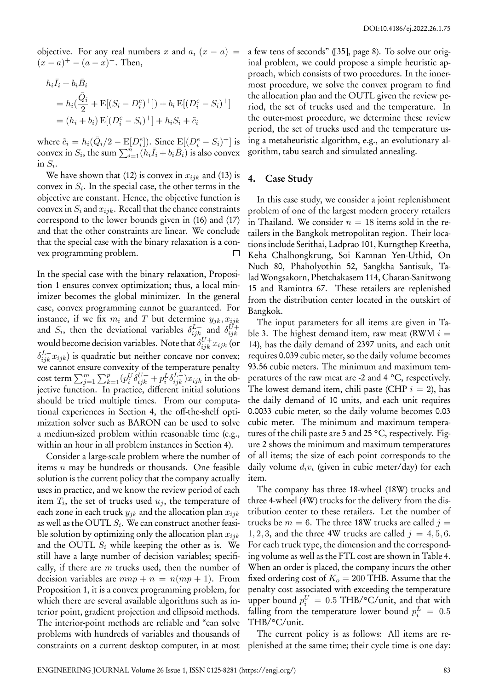objective. For any real numbers *x* and  $a$ ,  $(x - a)$  =  $(x - a)^+ - (a - x)^+$ . Then,

$$
h_i \bar{I}_i + b_i \bar{B}_i
$$
  
=  $h_i (\frac{\bar{Q}_i}{2} + \mathbb{E}[(S_i - D_i^e)^+] + b_i \mathbb{E}[(D_i^e - S_i)^+]$   
=  $(h_i + b_i) \mathbb{E}[(D_i^e - S_i)^+] + h_i S_i + \tilde{c}_i$ 

where  $\tilde{c}_i = h_i(\bar{Q}_i/2 - \mathrm{E}[D_i^e])$ . Since  $\mathrm{E}[(D_i^e - S_i)^+]$  is convex in  $S_i$ , the sum  $\sum_{i=1}^n (h_i \bar{I}_i + b_i \bar{B}_i)$  is also convex in  $S_i$ .

We have shown that (12) is convex in  $x_{ijk}$  and (13) is convex in *S<sup>i</sup>* . In the special case, the other terms in the objective are constant. Hence, the objective function is convex in  $S_i$  and  $x_{ijk}$ . Recall that the chance constraints correspond to the lower bounds given in (16) and (17) and that the other constraints are linear. We conclude that the special case with the binary relaxation is a convex programming problem.  $\Box$ 

In the special case with the binary relaxation, Proposition 1 ensures convex optimization; thus, a local minimizer becomes the global minimizer. In the general case, convex programming cannot be guaranteed. For instance, if we fix  $m_i$  and  $T$  but determine  $y_{jk}$ ,  $x_{ijk}$ and  $S_i$ , then the deviational variables  $\delta_{ijk}^{L-}$  and  $\delta_{ijk}^{U+}$ *ijk* would become decision variables. Note that  $\delta^{U+}_{ijk} x_{ijk}$  (or  $\delta^{L-}_{ijk} x_{ijk}$ ) is quadratic but neither concave nor convex; we cannot ensure convexity of the temperature penalty  $\cosh$  term  $\sum_{j=1}^m\sum_{k=1}^p (p_i^U\delta^{U+}_{ijk}+p_i^L\delta^{L-}_{ijk})x_{ijk}$  in the objective function. In practice, different initial solutions should be tried multiple times. From our computational experiences in Section 4, the off-the-shelf optimization solver such as BARON can be used to solve a medium-sized problem within reasonable time (e.g., within an hour in all problem instances in Section 4).

Consider a large-scale problem where the number of items *n* may be hundreds or thousands. One feasible solution is the current policy that the company actually uses in practice, and we know the review period of each item  $T_i$ , the set of trucks used  $u_j$ , the temperature of each zone in each truck *yjk* and the allocation plan *xijk* as well as the OUTL *S<sup>i</sup>* . We can construct another feasible solution by optimizing only the allocation plan *xijk* and the OUTL *S<sup>i</sup>* while keeping the other as is. We still have a large number of decision variables; specifically, if there are *m* trucks used, then the number of decision variables are  $mnp + n = n(mp + 1)$ . From Proposition 1, it is a convex programming problem, for which there are several available algorithms such as interior point, gradient projection and ellipsoid methods. The interior-point methods are reliable and "can solve problems with hundreds of variables and thousands of constraints on a current desktop computer, in at most a few tens of seconds" ([35], page 8). To solve our original problem, we could propose a simple heuristic approach, which consists of two procedures. In the innermost procedure, we solve the convex program to find the allocation plan and the OUTL given the review period, the set of trucks used and the temperature. In the outer-most procedure, we determine these review period, the set of trucks used and the temperature using a metaheuristic algorithm, e.g., an evolutionary algorithm, tabu search and simulated annealing.

## **4. Case Study**

In this case study, we consider a joint replenishment problem of one of the largest modern grocery retailers in Thailand. We consider  $n = 18$  items sold in the retailers in the Bangkok metropolitan region. Their locations include Serithai, Ladprao 101, Kurngthep Kreetha, Keha Chalhongkrung, Soi Kamnan Yen-Uthid, On Nuch 80, Phaholyothin 52, Sangkha Santisuk, Talad Wongsakorn, Phetchakasem 114, Charan-Sanitwong 15 and Ramintra 67. These retailers are replenished from the distribution center located in the outskirt of Bangkok.

The input parameters for all items are given in Table 3. The highest demand item, raw meat (RWM  $i =$ 14), has the daily demand of 2397 units, and each unit requires 0.039 cubic meter, so the daily volume becomes 93.56 cubic meters. The minimum and maximum temperatures of the raw meat are -2 and 4 °C, respectively. The lowest demand item, chili paste (CHP  $i = 2$ ), has the daily demand of 10 units, and each unit requires 0.0033 cubic meter, so the daily volume becomes 0.03 cubic meter. The minimum and maximum temperatures of the chili paste are 5 and 25 °C, respectively. Figure 2 shows the minimum and maximum temperatures of all items; the size of each point corresponds to the daily volume *div<sup>i</sup>* (given in cubic meter/day) for each item.

The company has three 18-wheel (18W) trucks and three 4-wheel (4W) trucks for the delivery from the distribution center to these retailers. Let the number of trucks be  $m = 6$ . The three 18W trucks are called  $j =$ 1, 2, 3, and the three 4W trucks are called  $j = 4, 5, 6$ . For each truck type, the dimension and the corresponding volume as well as the FTL cost are shown in Table 4. When an order is placed, the company incurs the other fixed ordering cost of  $K<sub>o</sub> = 200$  THB. Assume that the penalty cost associated with exceeding the temperature upper bound  $p_i^U = 0.5$  THB/°C/unit, and that with falling from the temperature lower bound  $p_i^L = 0.5$ THB/°C/unit.

The current policy is as follows: All items are replenished at the same time; their cycle time is one day: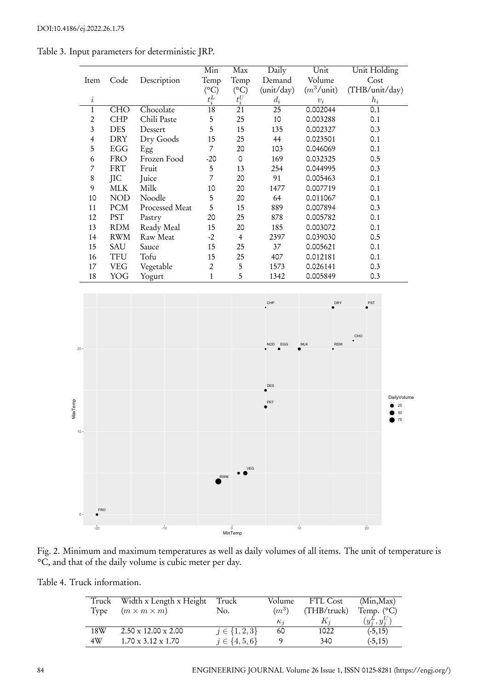|                |            |                | Min                   | Max            | Daily      | Unit          | Unit Holding   |
|----------------|------------|----------------|-----------------------|----------------|------------|---------------|----------------|
| Item           | Code       | Description    | Temp                  | Temp           | Demand     | Volume        | Cost           |
|                |            |                | $({}^{\circ}{\rm C})$ | $(^{\circ}C)$  | (unit/day) | $(m^3/$ unit) | (THB/unit/day) |
| $\dot{\imath}$ |            |                | $t_i^L$               | $t_i^{\cal U}$ | $d_i$      | $v_i$         | $h_i$          |
| 1              | <b>CHO</b> | Chocolate      | 18                    | 21             | 25         | 0.002044      | 0.1            |
| 2              | <b>CHP</b> | Chili Paste    | 5                     | 25             | 10         | 0.003288      | 0.1            |
| 3              | <b>DES</b> | Dessert        | 5                     | 15             | 135        | 0.002327      | 0.3            |
| $\overline{4}$ | DRY        | Dry Goods      | 15                    | 25             | 44         | 0.023501      | 0.1            |
| 5              | EGG        | Egg            | 7                     | 20             | 103        | 0.046069      | 0.1            |
| 6              | <b>FRO</b> | Frozen Food    | $-20$                 | $\Omega$       | 169        | 0.032325      | 0.5            |
| 7              | <b>FRT</b> | Fruit          | 5                     | 13             | 254        | 0.044995      | 0.3            |
| 8              | JIC        | Juice          | 7                     | 20             | 91         | 0.005463      | 0.1            |
| 9              | <b>MLK</b> | Milk           | 10                    | 20             | 1477       | 0.007719      | 0.1            |
| 10             | <b>NOD</b> | Noodle         | 5                     | 20             | 64         | 0.011067      | 0.1            |
| 11             | <b>PCM</b> | Processed Meat | 5                     | 15             | 889        | 0.007894      | 0.3            |
| 12             | <b>PST</b> | Pastry         | 20                    | 25             | 878        | 0.005782      | 0.1            |
| 13             | <b>RDM</b> | Ready Meal     | 15                    | 20             | 185        | 0.003072      | 0.1            |
| 14             | <b>RWM</b> | Raw Meat       | $-2$                  | 4              | 2397       | 0.039030      | 0.5            |
| 15             | <b>SAU</b> | Sauce          | 15                    | 25             | 37         | 0.005621      | 0.1            |
| 16             | TFU        | Tofu           | 15                    | 25             | 407        | 0.012181      | 0.1            |
| 17             | <b>VEG</b> | Vegetable      | $\overline{2}$        | 5              | 1573       | 0.026141      | 0.3            |
| 18             | YOG        | Yogurt         | 1                     | 5              | 1342       | 0.005849      | 0.3            |

Table 3. Input parameters for deterministic JRP.



Fig. 2. Minimum and maximum temperatures as well as daily volumes of all items. The unit of temperature is °C, and that of the daily volume is cubic meter per day.

Table 4. Truck information.

| Truck | Width x Length x Height         | Truck               | Volume     | FTL Cost    | (Min, Max)          |
|-------|---------------------------------|---------------------|------------|-------------|---------------------|
| Type  | $(m \times m \times m)$         | No.                 | $(m^3)$    | (THB/truck) | Temp. $(^{\circ}C)$ |
|       |                                 |                     | $\kappa_i$ | $K_i$       | $(y_i^L, y_i^U)$    |
| 18W   | $2.50 \times 12.00 \times 2.00$ | $j \in \{1,2,3\}$   | 60         | 1022        | $(-5, 15)$          |
| 4W    | $1.70 \times 3.12 \times 1.70$  | $j \in \{4, 5, 6\}$ |            | 340         | $(-5, 15)$          |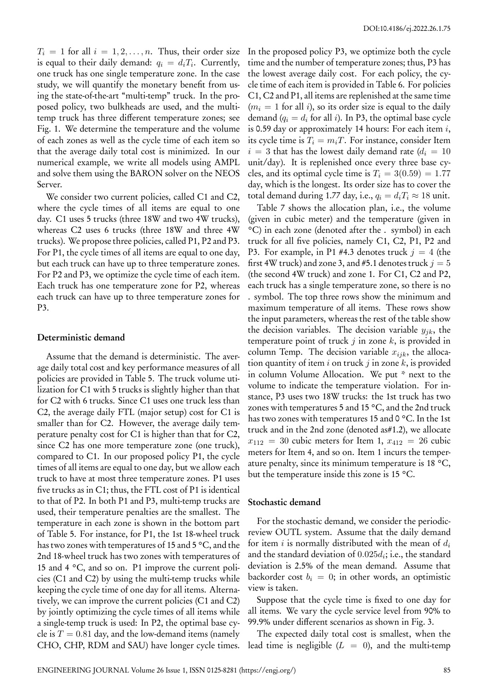$T_i = 1$  for all  $i = 1, 2, \ldots, n$ . Thus, their order size is equal to their daily demand:  $q_i = d_i T_i$ . Currently, one truck has one single temperature zone. In the case study, we will quantify the monetary benefit from using the state-of-the-art "multi-temp" truck. In the proposed policy, two bulkheads are used, and the multitemp truck has three different temperature zones; see Fig. 1. We determine the temperature and the volume of each zones as well as the cycle time of each item so that the average daily total cost is minimized. In our numerical example, we write all models using AMPL and solve them using the BARON solver on the NEOS Server.

We consider two current policies, called C1 and C2, where the cycle times of all items are equal to one day. C1 uses 5 trucks (three 18W and two 4W trucks), whereas C2 uses 6 trucks (three 18W and three 4W trucks). We propose three policies, called P1, P2 and P3. For P1, the cycle times of all items are equal to one day, but each truck can have up to three temperature zones. For P2 and P3, we optimize the cycle time of each item. Each truck has one temperature zone for P2, whereas each truck can have up to three temperature zones for P3.

#### **Deterministic demand**

Assume that the demand is deterministic. The average daily total cost and key performance measures of all policies are provided in Table 5. The truck volume utilization for C1 with 5 trucks is slightly higher than that for C2 with 6 trucks. Since C1 uses one truck less than C2, the average daily FTL (major setup) cost for C1 is smaller than for C2. However, the average daily temperature penalty cost for C1 is higher than that for C2, since C2 has one more temperature zone (one truck), compared to C1. In our proposed policy P1, the cycle times of all items are equal to one day, but we allow each truck to have at most three temperature zones. P1 uses five trucks as in C1; thus, the FTL cost of P1 is identical to that of P2. In both P1 and P3, multi-temp trucks are used, their temperature penalties are the smallest. The temperature in each zone is shown in the bottom part of Table 5. For instance, for P1, the 1st 18-wheel truck has two zones with temperatures of 15 and 5 °C, and the 2nd 18-wheel truck has two zones with temperatures of 15 and 4 °C, and so on. P1 improve the current policies (C1 and C2) by using the multi-temp trucks while keeping the cycle time of one day for all items. Alternatively, we can improve the current policies (C1 and C2) by jointly optimizing the cycle times of all items while a single-temp truck is used: In P2, the optimal base cycle is  $T = 0.81$  day, and the low-demand items (namely CHO, CHP, RDM and SAU) have longer cycle times.

In the proposed policy P3, we optimize both the cycle time and the number of temperature zones; thus, P3 has the lowest average daily cost. For each policy, the cycle time of each item is provided in Table 6. For policies C1, C2 and P1, all items are replenished at the same time  $(m<sub>i</sub> = 1$  for all *i*), so its order size is equal to the daily demand  $(q_i = d_i \text{ for all } i)$ . In P3, the optimal base cycle is 0.59 day or approximately 14 hours: For each item *i*, its cycle time is  $T_i = m_i T$ . For instance, consider Item  $i = 3$  that has the lowest daily demand rate  $(d_i = 10)$ unit/day). It is replenished once every three base cycles, and its optimal cycle time is  $T_i = 3(0.59) = 1.77$ day, which is the longest. Its order size has to cover the total demand during 1.77 day, i.e.,  $q_i = d_i T_i \approx 18$  unit.

Table 7 shows the allocation plan, i.e., the volume (given in cubic meter) and the temperature (given in °C) in each zone (denoted after the . symbol) in each truck for all five policies, namely C1, C2, P1, P2 and P3. For example, in P1 #4.3 denotes truck  $j = 4$  (the first 4W truck) and zone 3, and #5.1 denotes truck  $j = 5$ (the second 4W truck) and zone 1. For C1, C2 and P2, each truck has a single temperature zone, so there is no . symbol. The top three rows show the minimum and maximum temperature of all items. These rows show the input parameters, whereas the rest of the table show the decision variables. The decision variable  $y_{jk}$ , the temperature point of truck *j* in zone *k*, is provided in column Temp. The decision variable *xijk*, the allocation quantity of item *i* on truck *j* in zone *k*, is provided in column Volume Allocation. We put \* next to the volume to indicate the temperature violation. For instance, P3 uses two 18W trucks: the 1st truck has two zones with temperatures 5 and 15 °C, and the 2nd truck has two zones with temperatures 15 and 0 °C. In the 1st truck and in the 2nd zone (denoted as#1.2), we allocate  $x_{112} = 30$  cubic meters for Item 1,  $x_{412} = 26$  cubic meters for Item 4, and so on. Item 1 incurs the temperature penalty, since its minimum temperature is 18 °C, but the temperature inside this zone is 15 °C.

#### **Stochastic demand**

For the stochastic demand, we consider the periodicreview OUTL system. Assume that the daily demand for item *i* is normally distributed with the mean of *d<sup>i</sup>* and the standard deviation of 0*.*025*d<sup>i</sup>* ; i.e., the standard deviation is 2.5% of the mean demand. Assume that backorder cost  $b_i = 0$ ; in other words, an optimistic view is taken.

Suppose that the cycle time is fixed to one day for all items. We vary the cycle service level from 90% to 99.9% under different scenarios as shown in Fig. 3.

The expected daily total cost is smallest, when the lead time is negligible  $(L = 0)$ , and the multi-temp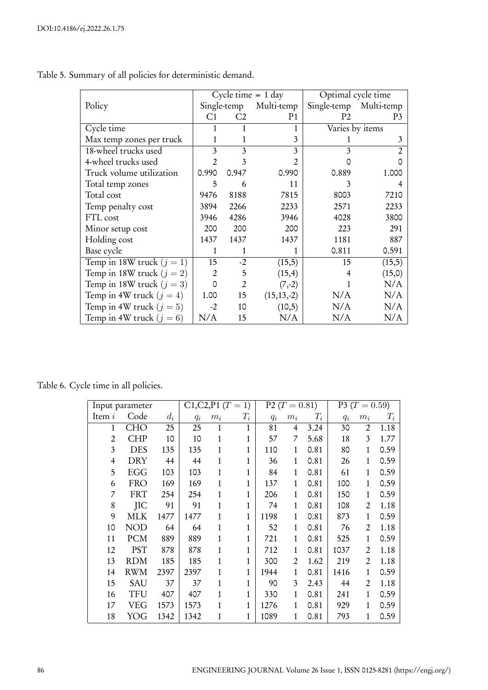|                             |                |                | Cycle time $= 1$ day | Optimal cycle time |            |  |
|-----------------------------|----------------|----------------|----------------------|--------------------|------------|--|
| Policy                      |                | Single-temp    | Multi-temp           | Single-temp        | Multi-temp |  |
|                             | C <sub>1</sub> | C <sub>2</sub> | P <sub>1</sub>       | P <sub>2</sub>     | P3         |  |
| Cycle time                  | 1              |                | 1                    | Varies by items    |            |  |
| Max temp zones per truck    | 1              | 1              | 3                    |                    | 3          |  |
| 18-wheel trucks used        | 3              | 3              | 3                    | 3                  |            |  |
| 4-wheel trucks used         | 2              | 3              | $\mathfrak{D}$       |                    |            |  |
| Truck volume utilization    | 0.990          | 0.947          | 0.990                | 0.889              | 1.000      |  |
| Total temp zones            | 5              | 6              | 11                   | 3                  |            |  |
| Total cost                  | 9476           | 8188           | 7815                 | 8003               | 7210       |  |
| Temp penalty cost           | 3894           | 2266           | 2233                 | 2571               | 2233       |  |
| FTL cost                    | 3946           | 4286           | 3946                 | 4028               | 3800       |  |
| Minor setup cost            | 200            | 200            | 200                  | 223                | 291        |  |
| Holding cost                | 1437           | 1437           | 1437                 | 1181               | 887        |  |
| Base cycle                  | 1              | 1              |                      | 0.811              | 0.591      |  |
| Temp in 18W truck $(j = 1)$ | 15             | $-2$           | (15,5)               | 15                 | (15,5)     |  |
| Temp in 18W truck $(j = 2)$ | $\overline{2}$ | 5              | (15,4)               | 4                  | (15,0)     |  |
| Temp in 18W truck $(j = 3)$ | 0              | $\overline{2}$ | $(7,-2)$             |                    | N/A        |  |
| Temp in 4W truck $(j = 4)$  | 1.00           | 15             | $(15, 13, -2)$       | N/A                | N/A        |  |
| Temp in 4W truck $(j = 5)$  | $-2$           | 10             | (10,5)               | N/A                | N/A        |  |
| Temp in 4W truck $(j = 6)$  | N/A            | 15             | N/A                  | N/A                | N/A        |  |

Table 5. Summary of all policies for deterministic demand.

Table 6. Cycle time in all policies.

|                | Input parameter |       |       | $C1, C2, P1 (T = 1)$ |              |       | P2 ( $T = 0.81$ ) |       |       | P3 ( $T = 0.59$ ) |       |
|----------------|-----------------|-------|-------|----------------------|--------------|-------|-------------------|-------|-------|-------------------|-------|
| Item i         | Code            | $d_i$ | $q_i$ | $m_i$                | $T_i$        | $q_i$ | $m_i$             | $T_i$ | $q_i$ | $m_i$             | $T_i$ |
| 1              | <b>CHO</b>      | 25    | 25    | 1                    | 1            | 81    | 4                 | 3.24  | 30    | $\overline{2}$    | 1.18  |
| $\overline{2}$ | <b>CHP</b>      | 10    | 10    | 1                    | 1            | 57    | 7                 | 5.68  | 18    | 3                 | 1.77  |
| 3              | <b>DES</b>      | 135   | 135   | 1                    | 1            | 110   | $\mathbf{1}$      | 0.81  | 80    | 1                 | 0.59  |
| 4              | <b>DRY</b>      | 44    | 44    | 1                    | 1            | 36    | 1                 | 0.81  | 26    | 1                 | 0.59  |
| 5              | <b>EGG</b>      | 103   | 103   | 1                    | 1            | 84    | $\mathbf{1}$      | 0.81  | 61    | 1                 | 0.59  |
| 6              | <b>FRO</b>      | 169   | 169   | 1                    | 1            | 137   | 1                 | 0.81  | 100   | 1                 | 0.59  |
| 7              | <b>FRT</b>      | 254   | 254   | 1                    | 1            | 206   | $\mathbf{1}$      | 0.81  | 150   | 1                 | 0.59  |
| 8              | <b>JIC</b>      | 91    | 91    | 1                    | 1            | 74    | 1                 | 0.81  | 108   | $\overline{2}$    | 1.18  |
| 9              | MLK             | 1477  | 1477  | 1                    | 1            | 1198  | 1                 | 0.81  | 873   | 1                 | 0.59  |
| 10             | <b>NOD</b>      | 64    | 64    | 1                    | $\mathbf{1}$ | 52    | 1                 | 0.81  | 76    | $\overline{2}$    | 1.18  |
| 11             | <b>PCM</b>      | 889   | 889   | 1                    | 1            | 721   | 1                 | 0.81  | 525   | 1                 | 0.59  |
| 12             | <b>PST</b>      | 878   | 878   | 1                    | 1            | 712   | 1                 | 0.81  | 1037  | 2                 | 1.18  |
| 13             | <b>RDM</b>      | 185   | 185   | 1                    | 1            | 300   | 2                 | 1.62  | 219   | 2                 | 1.18  |
| 14             | <b>RWM</b>      | 2397  | 2397  | 1                    | 1            | 1944  | 1                 | 0.81  | 1416  | 1                 | 0.59  |
| 15             | <b>SAU</b>      | 37    | 37    | 1                    | 1            | 90    | 3                 | 2.43  | 44    | 2                 | 1.18  |
| 16             | <b>TFU</b>      | 407   | 407   | 1                    | 1            | 330   | 1                 | 0.81  | 241   | 1                 | 0.59  |
| 17             | VEG             | 1573  | 1573  | 1                    | 1            | 1276  | 1                 | 0.81  | 929   | 1                 | 0.59  |
| 18             | YOG             | 1342  | 1342  | 1                    | $\mathbf{1}$ | 1089  | $\mathbf{1}$      | 0.81  | 793   | 1                 | 0.59  |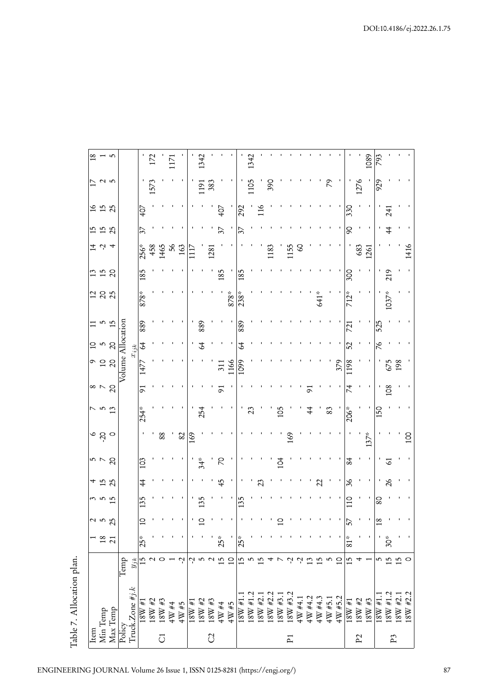| <b>Item</b>   |                                                                                                                                                                                                                                                                                                                                                                               |                                      |                 |                 |              |                          |              |                  |               |                 |                   |               | $\Xi$          |        |                |                     |                |                |                                 | $\frac{18}{2}$ |
|---------------|-------------------------------------------------------------------------------------------------------------------------------------------------------------------------------------------------------------------------------------------------------------------------------------------------------------------------------------------------------------------------------|--------------------------------------|-----------------|-----------------|--------------|--------------------------|--------------|------------------|---------------|-----------------|-------------------|---------------|----------------|--------|----------------|---------------------|----------------|----------------|---------------------------------|----------------|
|               | Min Temp                                                                                                                                                                                                                                                                                                                                                                      |                                      | $\frac{8}{1}$   |                 | <u>ຕ ທ ທ</u> |                          |              |                  | $\frac{7}{3}$ |                 |                   |               |                |        |                | $\vec{r}$ 4         | 15<br>15<br>25 | 16<br>15<br>25 |                                 |                |
|               | Max Temp                                                                                                                                                                                                                                                                                                                                                                      |                                      | $\overline{21}$ | 25              |              |                          | $5 - 5$      |                  |               | $\frac{8}{2}$   | ិ <u>ក</u> ្ក ក្ដ |               | $\frac{5}{10}$ | 288    | 11<br>15<br>20 | $\overline{4}$      |                |                | $\overline{2}$ a $\overline{2}$ | $\frac{1}{2}$  |
| Policy        | Truck.Zone #j.k                                                                                                                                                                                                                                                                                                                                                               | $\overline{\text{Temp}}$<br>$y_{jk}$ |                 |                 |              |                          |              |                  |               |                 | Volume Allocation | $x_{ijk}$     |                |        |                |                     |                |                |                                 |                |
|               | $\frac{18\text{W}\#1}{18\text{W}\#2}$                                                                                                                                                                                                                                                                                                                                         |                                      | $25*$           | $\Xi$           | 135          | 4                        | 103          |                  | $254*$        | 51              | $\sqrt{477}$      | $\mathcal{L}$ | 889            | 878*   | 185            |                     | 37             | 407            |                                 |                |
|               |                                                                                                                                                                                                                                                                                                                                                                               |                                      |                 |                 |              |                          |              |                  |               |                 |                   |               |                |        |                | 256*<br>458<br>1465 |                |                | 1573                            | 172            |
| J             | $18\,\mathrm{W}$ #3                                                                                                                                                                                                                                                                                                                                                           |                                      |                 |                 |              |                          |              | 88               |               |                 |                   |               |                |        |                |                     |                |                |                                 |                |
|               | $4\,\mathrm{W}$ #4                                                                                                                                                                                                                                                                                                                                                            |                                      |                 |                 |              |                          |              |                  |               |                 |                   |               |                |        |                | 56                  |                |                |                                 | 1171           |
|               | $4W#5$                                                                                                                                                                                                                                                                                                                                                                        | ೆ                                    |                 |                 |              |                          |              | 82               |               |                 |                   |               |                |        |                | 163                 |                |                |                                 |                |
|               |                                                                                                                                                                                                                                                                                                                                                                               |                                      |                 |                 |              |                          |              | 169              |               |                 |                   |               |                |        |                |                     |                |                |                                 |                |
|               | $\begin{array}{c} 18\text{W}\#1\\ 18\text{W}\#2\\ 18\text{W}\#2 \end{array}$                                                                                                                                                                                                                                                                                                  |                                      |                 | $\overline{a}$  |              |                          | $34*$        |                  | 254           |                 |                   | 2             | 889            |        |                |                     |                |                | $\overline{191}$                | 1342           |
| C             |                                                                                                                                                                                                                                                                                                                                                                               |                                      |                 |                 |              |                          |              |                  |               |                 |                   |               |                |        |                | 1281                |                |                | 383                             |                |
|               | $4\,\mathrm{W}$ #4                                                                                                                                                                                                                                                                                                                                                            | ى                                    | $25*$           |                 |              | 45                       | <sub>N</sub> |                  |               | 5               | 311               |               |                |        | 185            |                     | 37             | 407            |                                 |                |
|               | $4W#5$                                                                                                                                                                                                                                                                                                                                                                        | $\overline{a}$                       |                 |                 |              |                          |              |                  |               |                 | 1166              |               |                | $878*$ |                |                     |                |                |                                 |                |
|               | $\frac{18 \text{W } \# 1.1}{18 \text{W } \# 1.2}$                                                                                                                                                                                                                                                                                                                             | 15                                   | $25*$           |                 | 35           |                          |              |                  |               |                 | $\sqrt{109}$      | 2             | 889            | $238*$ | 185            |                     | 37             | $\sqrt{292}$   |                                 |                |
|               |                                                                                                                                                                                                                                                                                                                                                                               |                                      |                 |                 |              |                          |              |                  | 23            |                 |                   |               |                |        |                |                     |                |                | 1105                            | 1342           |
|               |                                                                                                                                                                                                                                                                                                                                                                               |                                      |                 |                 |              | 23                       |              |                  |               |                 |                   |               |                |        |                |                     |                | $\frac{16}{1}$ |                                 |                |
|               |                                                                                                                                                                                                                                                                                                                                                                               |                                      |                 |                 |              |                          |              |                  |               |                 |                   |               |                |        |                | 1183                |                |                | 390                             |                |
|               |                                                                                                                                                                                                                                                                                                                                                                               |                                      |                 | $\overline{a}$  |              |                          | Z            |                  | 105           |                 |                   |               |                |        |                |                     |                |                |                                 |                |
| $\tilde{P}$   |                                                                                                                                                                                                                                                                                                                                                                               |                                      |                 |                 |              |                          |              | 169              |               |                 |                   |               |                |        |                | 1155                |                |                |                                 |                |
|               |                                                                                                                                                                                                                                                                                                                                                                               |                                      |                 |                 |              |                          |              |                  |               |                 |                   |               |                |        |                | S                   |                |                |                                 |                |
|               |                                                                                                                                                                                                                                                                                                                                                                               |                                      |                 |                 |              |                          |              |                  | 44            | خ               |                   |               |                |        |                |                     |                |                |                                 |                |
|               |                                                                                                                                                                                                                                                                                                                                                                               |                                      |                 |                 |              | $\overline{\mathcal{L}}$ |              |                  |               |                 |                   |               |                | 641*   |                |                     |                |                |                                 |                |
|               |                                                                                                                                                                                                                                                                                                                                                                               |                                      |                 |                 |              |                          |              |                  | 83            |                 |                   |               |                |        |                |                     |                |                |                                 |                |
|               | $\begin{array}{l} 180\!\!\! \times\!\!\!\!\! \#2.1 \\ 180\!\!\! \times\!\!\!\!\! \#2.2 \\ 180\!\!\! \times\!\!\!\!\! \#3.1 \\ 180\!\!\! \times\!\!\!\!\! \#4.1 \\ 180\!\!\! \times\!\!\!\! \#4.1 \\ 40\!\!\! \times\!\!\!\! \#4.2 \\ 40\!\!\! \times\!\!\!\! \#4.3 \\ 40\!\!\! \times\!\!\!\! \#5.1 \\ 40\!\!\! \times\!\!\!\! \#5.1 \\ 40\!\!\! \times\!\!\!\! \#5.2 \\ 40\$ | $\overline{a}$                       |                 |                 |              |                          |              |                  |               |                 | 379               |               |                |        |                |                     |                |                |                                 |                |
|               | $18\,\mathrm{W}$ #1                                                                                                                                                                                                                                                                                                                                                           | 15                                   | 81*             | 57              | O            | 36                       | 84           |                  | $206*$        |                 | 198               | 25            | 721            | 712*   | 300            |                     | ငွ             | 330            |                                 |                |
| $\mathbf{P}2$ | $18\mathrm{W}$ #2                                                                                                                                                                                                                                                                                                                                                             |                                      |                 |                 |              |                          |              |                  |               |                 |                   |               |                |        |                | 683<br>1261         |                |                | 1276                            |                |
|               | $18\mathrm{W}$ #3                                                                                                                                                                                                                                                                                                                                                             |                                      |                 |                 |              |                          |              | $137*$           |               |                 |                   |               |                |        |                |                     |                |                |                                 | 1089           |
|               | $18W$ #1.1                                                                                                                                                                                                                                                                                                                                                                    | ഹ                                    |                 | $\overline{18}$ | 80           |                          |              |                  | 150           |                 |                   | ಿ             | 525            |        |                |                     |                |                | 929                             | 793            |
| P3            | $\begin{array}{c} 18\!\!\! \times 41.2 \\ 18\!\!\! \times 42.1 \end{array}$                                                                                                                                                                                                                                                                                                   | بما                                  | $30*$           |                 |              | $\delta$                 | Ğ            |                  |               | $\overline{08}$ | 675               |               |                | 1037*  | 219            |                     |                | 24             |                                 |                |
|               |                                                                                                                                                                                                                                                                                                                                                                               | 5                                    |                 |                 |              |                          |              |                  |               |                 | 198               |               |                |        |                |                     |                |                |                                 |                |
|               | $18W + 2.2$                                                                                                                                                                                                                                                                                                                                                                   | O                                    |                 |                 |              |                          |              | $\overline{100}$ |               |                 |                   |               |                |        |                | 1416                |                |                |                                 |                |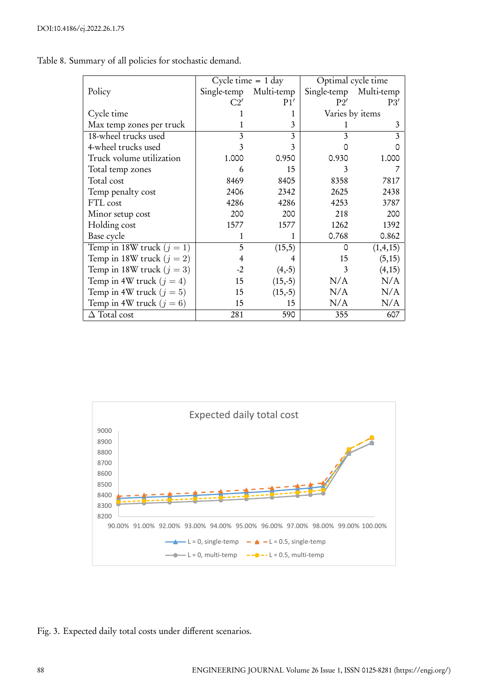|                             |       | Cycle time $= 1$ day   | Optimal cycle time |                 |
|-----------------------------|-------|------------------------|--------------------|-----------------|
| Policy                      |       | Single-temp Multi-temp | Single-temp        | Multi-temp      |
|                             | C2'   | P1'                    | P2'                | P3'             |
| Cycle time                  |       |                        |                    | Varies by items |
| Max temp zones per truck    |       | 3                      |                    | 3               |
| 18-wheel trucks used        | 3     | 3                      | 3                  | 3               |
| 4-wheel trucks used         | 3     | 3                      |                    |                 |
| Truck volume utilization    | 1.000 | 0.950                  | 0.930              | 1.000           |
| Total temp zones            | 6     | 15                     | 3                  |                 |
| Total cost                  | 8469  | 8405                   | 8358               | 7817            |
| Temp penalty cost           | 2406  | 2342                   | 2625               | 2438            |
| FTL cost                    | 4286  | 4286                   | 4253               | 3787            |
| Minor setup cost            | 200   | 200                    | 218                | 200             |
| Holding cost                | 1577  | 1577                   | 1262               | 1392            |
| Base cycle                  | 1     |                        | 0.768              | 0.862           |
| Temp in 18W truck $(j = 1)$ | 5     | (15,5)                 | Ω                  | (1,4,15)        |
| Temp in 18W truck $(j = 2)$ |       |                        | 15                 | (5, 15)         |
| Temp in 18W truck $(j = 3)$ | $-2$  | $(4,-5)$               | 3                  | (4,15)          |
| Temp in 4W truck $(j = 4)$  | 15    | $(15,-5)$              | N/A                | N/A             |
| Temp in 4W truck $(j = 5)$  | 15    | $(15,-5)$              | N/A                | N/A             |
| Temp in 4W truck $(j = 6)$  | 15    | 15                     | N/A                | N/A             |
| $\Delta$ Total cost         | 281   | 590                    | 355                | 607             |

Table 8. Summary of all policies for stochastic demand.



Fig. 3. Expected daily total costs under different scenarios.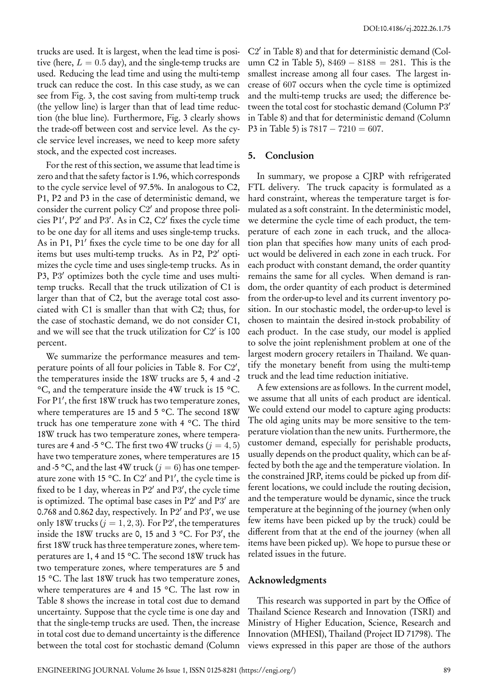trucks are used. It is largest, when the lead time is positive (here,  $L = 0.5$  day), and the single-temp trucks are used. Reducing the lead time and using the multi-temp truck can reduce the cost. In this case study, as we can see from Fig. 3, the cost saving from multi-temp truck (the yellow line) is larger than that of lead time reduction (the blue line). Furthermore, Fig. 3 clearly shows the trade-off between cost and service level. As the cycle service level increases, we need to keep more safety stock, and the expected cost increases.

For the rest of this section, we assume that lead time is zero and that the safety factor is 1.96, which corresponds to the cycle service level of 97.5%. In analogous to C2, P1, P2 and P3 in the case of deterministic demand, we consider the current policy C2 *′* and propose three policies P1 *′* , P2 *′* and P3 *′* . As in C2, C2 *′* fixes the cycle time to be one day for all items and uses single-temp trucks. As in P1, P1 *′* fixes the cycle time to be one day for all items but uses multi-temp trucks. As in P2, P2 *′* optimizes the cycle time and uses single-temp trucks. As in P3, P3 *′* optimizes both the cycle time and uses multitemp trucks. Recall that the truck utilization of C1 is larger than that of C2, but the average total cost associated with C1 is smaller than that with C2; thus, for the case of stochastic demand, we do not consider C1, and we will see that the truck utilization for C2 *′* is 100 percent.

We summarize the performance measures and temperature points of all four policies in Table 8. For C2 *′* , the temperatures inside the 18W trucks are 5, 4 and -2 °C, and the temperature inside the 4W truck is 15 °C. For P1 *′* , the first 18W truck has two temperature zones, where temperatures are 15 and 5 °C. The second 18W truck has one temperature zone with 4 °C. The third 18W truck has two temperature zones, where temperatures are 4 and -5 °C. The first two 4W trucks ( $j = 4, 5$ ) have two temperature zones, where temperatures are 15 and -5 °C, and the last 4W truck ( $j = 6$ ) has one temperature zone with 15 °C. In C2 *′* and P1 *′* , the cycle time is fixed to be 1 day, whereas in P2 *′* and P3 *′* , the cycle time is optimized. The optimal base cases in P2 *′* and P3 *′* are 0.768 and 0.862 day, respectively. In P2 *′* and P3 *′* , we use only 18W trucks ( $j = 1, 2, 3$ ). For P2', the temperatures inside the 18W trucks are 0, 15 and 3 °C. For P3 *′* , the first 18W truck has three temperature zones, where temperatures are 1, 4 and 15 °C. The second 18W truck has two temperature zones, where temperatures are 5 and 15 °C. The last 18W truck has two temperature zones, where temperatures are 4 and 15 °C. The last row in Table 8 shows the increase in total cost due to demand uncertainty. Suppose that the cycle time is one day and that the single-temp trucks are used. Then, the increase in total cost due to demand uncertainty is the difference between the total cost for stochastic demand (Column

C2 *′* in Table 8) and that for deterministic demand (Column C2 in Table 5), 8469 *−* 8188 = 281. This is the smallest increase among all four cases. The largest increase of 607 occurs when the cycle time is optimized and the multi-temp trucks are used; the difference between the total cost for stochastic demand (Column P3 *′* in Table 8) and that for deterministic demand (Column P3 in Table 5) is  $7817 - 7210 = 607$ .

## **5. Conclusion**

In summary, we propose a CJRP with refrigerated FTL delivery. The truck capacity is formulated as a hard constraint, whereas the temperature target is formulated as a soft constraint. In the deterministic model, we determine the cycle time of each product, the temperature of each zone in each truck, and the allocation plan that specifies how many units of each product would be delivered in each zone in each truck. For each product with constant demand, the order quantity remains the same for all cycles. When demand is random, the order quantity of each product is determined from the order-up-to level and its current inventory position. In our stochastic model, the order-up-to level is chosen to maintain the desired in-stock probability of each product. In the case study, our model is applied to solve the joint replenishment problem at one of the largest modern grocery retailers in Thailand. We quantify the monetary benefit from using the multi-temp truck and the lead time reduction initiative.

A few extensions are as follows. In the current model, we assume that all units of each product are identical. We could extend our model to capture aging products: The old aging units may be more sensitive to the temperature violation than the new units. Furthermore, the customer demand, especially for perishable products, usually depends on the product quality, which can be affected by both the age and the temperature violation. In the constrained JRP, items could be picked up from different locations, we could include the routing decision, and the temperature would be dynamic, since the truck temperature at the beginning of the journey (when only few items have been picked up by the truck) could be different from that at the end of the journey (when all items have been picked up). We hope to pursue these or related issues in the future.

## **Acknowledgments**

This research was supported in part by the Office of Thailand Science Research and Innovation (TSRI) and Ministry of Higher Education, Science, Research and Innovation (MHESI), Thailand (Project ID 71798). The views expressed in this paper are those of the authors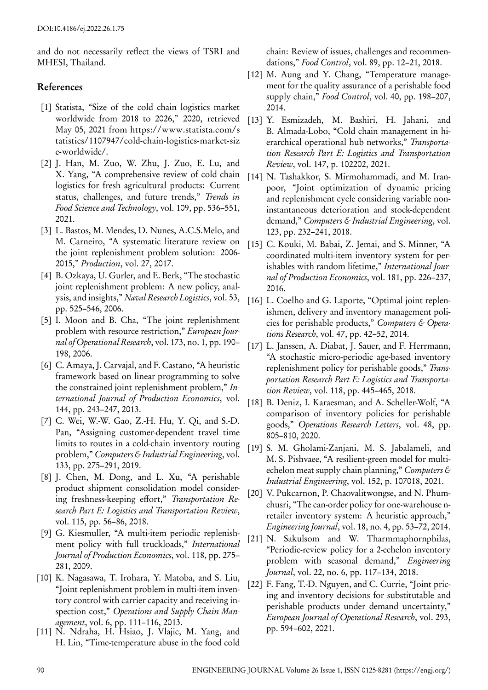and do not necessarily reflect the views of TSRI and MHESI, Thailand.

## **References**

- [1] Statista, "Size of the cold chain logistics market worldwide from 2018 to 2026," 2020, retrieved May 05, 2021 from https://www.statista.com/s tatistics/1107947/cold-chain-logistics-market-siz e-worldwide/.
- [2] J. Han, M. Zuo, W. Zhu, J. Zuo, E. Lu, and X. Yang, "A comprehensive review of cold chain logistics for fresh agricultural products: Current status, challenges, and future trends," *Trends in Food Science and Technology*, vol. 109, pp. 536–551, 2021.
- [3] L. Bastos, M. Mendes, D. Nunes, A.C.S.Melo, and M. Carneiro, "A systematic literature review on the joint replenishment problem solution: 2006- 2015," *Production*, vol. 27, 2017.
- [4] B. Ozkaya, U. Gurler, and E. Berk, "The stochastic joint replenishment problem: A new policy, analysis, and insights," *Naval Research Logistics*, vol. 53, pp. 525–546, 2006.
- [5] I. Moon and B. Cha, "The joint replenishment problem with resource restriction," *European Journal of Operational Research*, vol. 173, no. 1, pp. 190– 198, 2006.
- [6] C. Amaya, J. Carvajal, and F. Castano, "A heuristic framework based on linear programming to solve the constrained joint replenishment problem," *International Journal of Production Economics*, vol. 144, pp. 243–247, 2013.
- [7] C. Wei, W.-W. Gao, Z.-H. Hu, Y. Qi, and S.-D. Pan, "Assigning customer-dependent travel time limits to routes in a cold-chain inventory routing problem," *Computers & Industrial Engineering*, vol. 133, pp. 275–291, 2019.
- [8] J. Chen, M. Dong, and L. Xu, "A perishable product shipment consolidation model considering freshness-keeping effort," *Transportation Research Part E: Logistics and Transportation Review*, vol. 115, pp. 56–86, 2018.
- [9] G. Kiesmuller, "A multi-item periodic replenishment policy with full truckloads," *International Journal of Production Economics*, vol. 118, pp. 275– 281, 2009.
- [10] K. Nagasawa, T. Irohara, Y. Matoba, and S. Liu, "Joint replenishment problem in multi-item inventory control with carrier capacity and receiving inspection cost," *Operations and Supply Chain Management*, vol. 6, pp. 111–116, 2013.
- [11] N. Ndraha, H. Hsiao, J. Vlajic, M. Yang, and H. Lin, "Time-temperature abuse in the food cold

chain: Review of issues, challenges and recommendations," *Food Control*, vol. 89, pp. 12–21, 2018.

- [12] M. Aung and Y. Chang, "Temperature management for the quality assurance of a perishable food supply chain," *Food Control*, vol. 40, pp. 198–207, 2014.
- [13] Y. Esmizadeh, M. Bashiri, H. Jahani, and B. Almada-Lobo, "Cold chain management in hierarchical operational hub networks," *Transportation Research Part E: Logistics and Transportation Review*, vol. 147, p. 102202, 2021.
- [14] N. Tashakkor, S. Mirmohammadi, and M. Iranpoor, "Joint optimization of dynamic pricing and replenishment cycle considering variable noninstantaneous deterioration and stock-dependent demand," *Computers & Industrial Engineering*, vol. 123, pp. 232–241, 2018.
- [15] C. Kouki, M. Babai, Z. Jemai, and S. Minner, "A coordinated multi-item inventory system for perishables with random lifetime," *International Journal of Production Economics*, vol. 181, pp. 226–237, 2016.
- [16] L. Coelho and G. Laporte, "Optimal joint replenishmen, delivery and inventory management policies for perishable products," *Computers & Operations Research*, vol. 47, pp. 42–52, 2014.
- [17] L. Janssen, A. Diabat, J. Sauer, and F. Herrmann, "A stochastic micro-periodic age-based inventory replenishment policy for perishable goods," *Transportation Research Part E: Logistics and Transportation Review*, vol. 118, pp. 445–465, 2018.
- [18] B. Deniz, I. Karaesman, and A. Scheller-Wolf, "A comparison of inventory policies for perishable goods," *Operations Research Letters*, vol. 48, pp. 805–810, 2020.
- [19] S. M. Gholami-Zanjani, M. S. Jabalameli, and M. S. Pishvaee, "A resilient-green model for multiechelon meat supply chain planning," *Computers & Industrial Engineering*, vol. 152, p. 107018, 2021.
- [20] V. Pukcarnon, P. Chaovalitwongse, and N. Phumchusri, "The can-order policy for one-warehouse nretailer inventory system: A heuristic approach," *Engineering Journal*, vol. 18, no. 4, pp. 53–72, 2014.
- [21] N. Sakulsom and W. Tharmmaphornphilas, "Periodic-review policy for a 2-echelon inventory problem with seasonal demand," *Engineering Journal*, vol. 22, no. 6, pp. 117–134, 2018.
- [22] F. Fang, T.-D. Nguyen, and C. Currie, "Joint pricing and inventory decisions for substitutable and perishable products under demand uncertainty," *European Journal of Operational Research*, vol. 293, pp. 594–602, 2021.